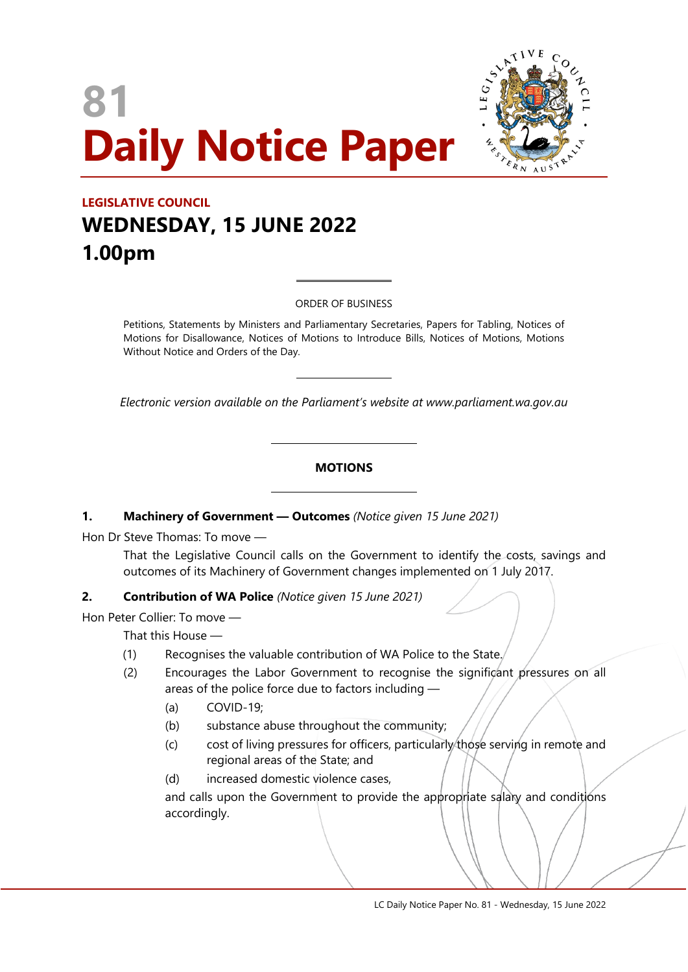# **81 Daily Notice Paper**



# **LEGISLATIVE COUNCIL WEDNESDAY, 15 JUNE 2022 1.00pm**

ORDER OF BUSINESS

 $\overline{a}$ 

 $\overline{a}$ 

Petitions, Statements by Ministers and Parliamentary Secretaries, Papers for Tabling, Notices of Motions for Disallowance, Notices of Motions to Introduce Bills, Notices of Motions, Motions Without Notice and Orders of the Day.

*Electronic version available on the Parliament's website at www.parliament.wa.gov.au*

#### **MOTIONS**

#### **1. Machinery of Government — Outcomes** *(Notice given 15 June 2021)*

 $\overline{\phantom{a}}$ 

 $\overline{\phantom{a}}$ 

Hon Dr Steve Thomas: To move —

That the Legislative Council calls on the Government to identify the costs, savings and outcomes of its Machinery of Government changes implemented on 1 July 2017.

#### **2. Contribution of WA Police** *(Notice given 15 June 2021)*

Hon Peter Collier: To move —

That this House —

- (1) Recognises the valuable contribution of WA Police to the State.
- (2) Encourages the Labor Government to recognise the significant pressures on all areas of the police force due to factors including —
	- (a) COVID-19;
	- (b) substance abuse throughout the community;
	- (c) cost of living pressures for officers, particularly those serving in remote and regional areas of the State; and
	- (d) increased domestic violence cases,

and calls upon the Government to provide the appropriate salary and conditions accordingly.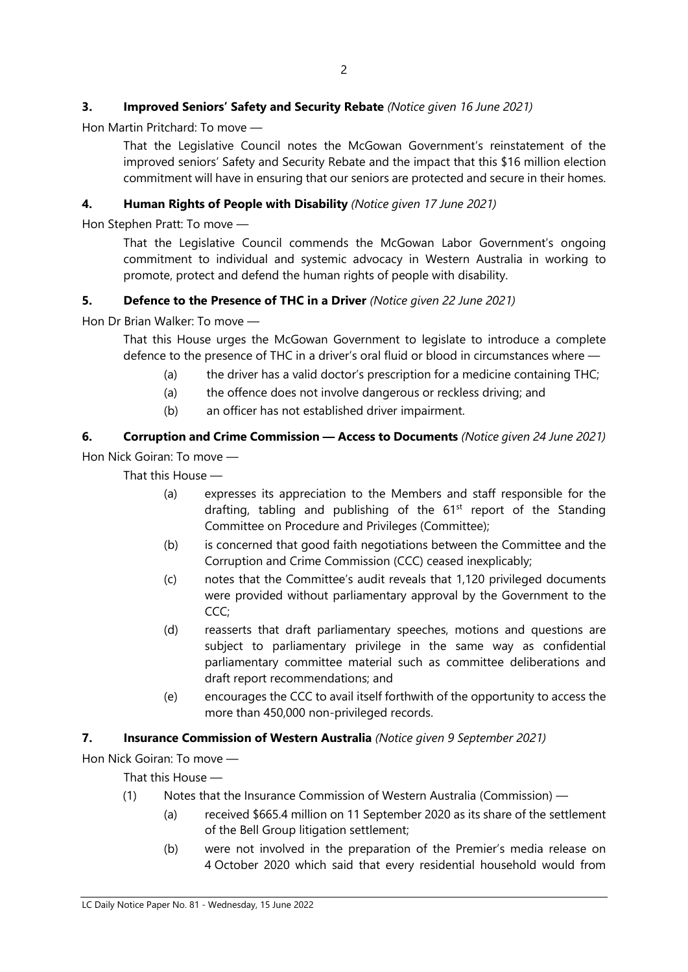# **3. Improved Seniors' Safety and Security Rebate** *(Notice given 16 June 2021)*

Hon Martin Pritchard: To move —

That the Legislative Council notes the McGowan Government's reinstatement of the improved seniors' Safety and Security Rebate and the impact that this \$16 million election commitment will have in ensuring that our seniors are protected and secure in their homes.

#### **4. Human Rights of People with Disability** *(Notice given 17 June 2021)*

Hon Stephen Pratt: To move —

That the Legislative Council commends the McGowan Labor Government's ongoing commitment to individual and systemic advocacy in Western Australia in working to promote, protect and defend the human rights of people with disability.

#### **5. Defence to the Presence of THC in a Driver** *(Notice given 22 June 2021)*

Hon Dr Brian Walker: To move —

That this House urges the McGowan Government to legislate to introduce a complete defence to the presence of THC in a driver's oral fluid or blood in circumstances where —

- (a) the driver has a valid doctor's prescription for a medicine containing THC;
- (a) the offence does not involve dangerous or reckless driving; and
- (b) an officer has not established driver impairment.

# **6. Corruption and Crime Commission — Access to Documents** *(Notice given 24 June 2021)* Hon Nick Goiran: To move —

That this House —

- (a) expresses its appreciation to the Members and staff responsible for the drafting, tabling and publishing of the  $61<sup>st</sup>$  report of the Standing Committee on Procedure and Privileges (Committee);
- (b) is concerned that good faith negotiations between the Committee and the Corruption and Crime Commission (CCC) ceased inexplicably;
- (c) notes that the Committee's audit reveals that 1,120 privileged documents were provided without parliamentary approval by the Government to the CCC:
- (d) reasserts that draft parliamentary speeches, motions and questions are subject to parliamentary privilege in the same way as confidential parliamentary committee material such as committee deliberations and draft report recommendations; and
- (e) encourages the CCC to avail itself forthwith of the opportunity to access the more than 450,000 non-privileged records.

#### **7. Insurance Commission of Western Australia** *(Notice given 9 September 2021)*

Hon Nick Goiran: To move —

That this House —

- (1) Notes that the Insurance Commission of Western Australia (Commission)
	- (a) received \$665.4 million on 11 September 2020 as its share of the settlement of the Bell Group litigation settlement;
	- (b) were not involved in the preparation of the Premier's media release on 4 October 2020 which said that every residential household would from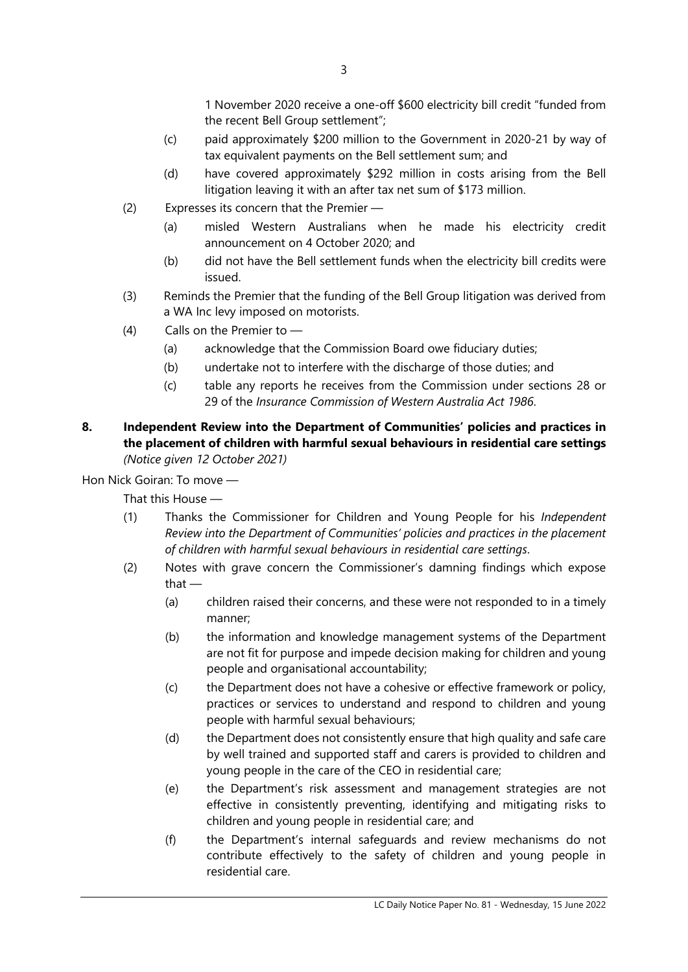1 November 2020 receive a one-off \$600 electricity bill credit "funded from the recent Bell Group settlement";

- (c) paid approximately \$200 million to the Government in 2020-21 by way of tax equivalent payments on the Bell settlement sum; and
- (d) have covered approximately \$292 million in costs arising from the Bell litigation leaving it with an after tax net sum of \$173 million.
- (2) Expresses its concern that the Premier
	- (a) misled Western Australians when he made his electricity credit announcement on 4 October 2020; and
	- (b) did not have the Bell settlement funds when the electricity bill credits were issued.
- (3) Reminds the Premier that the funding of the Bell Group litigation was derived from a WA Inc levy imposed on motorists.
- (4) Calls on the Premier to
	- (a) acknowledge that the Commission Board owe fiduciary duties;
	- (b) undertake not to interfere with the discharge of those duties; and
	- (c) table any reports he receives from the Commission under sections 28 or 29 of the *Insurance Commission of Western Australia Act 1986*.
- **8. Independent Review into the Department of Communities' policies and practices in the placement of children with harmful sexual behaviours in residential care settings** *(Notice given 12 October 2021)*

Hon Nick Goiran: To move —

That this House —

- (1) Thanks the Commissioner for Children and Young People for his *Independent Review into the Department of Communities' policies and practices in the placement of children with harmful sexual behaviours in residential care settings*.
- (2) Notes with grave concern the Commissioner's damning findings which expose that —
	- (a) children raised their concerns, and these were not responded to in a timely manner;
	- (b) the information and knowledge management systems of the Department are not fit for purpose and impede decision making for children and young people and organisational accountability;
	- (c) the Department does not have a cohesive or effective framework or policy, practices or services to understand and respond to children and young people with harmful sexual behaviours;
	- (d) the Department does not consistently ensure that high quality and safe care by well trained and supported staff and carers is provided to children and young people in the care of the CEO in residential care;
	- (e) the Department's risk assessment and management strategies are not effective in consistently preventing, identifying and mitigating risks to children and young people in residential care; and
	- (f) the Department's internal safeguards and review mechanisms do not contribute effectively to the safety of children and young people in residential care.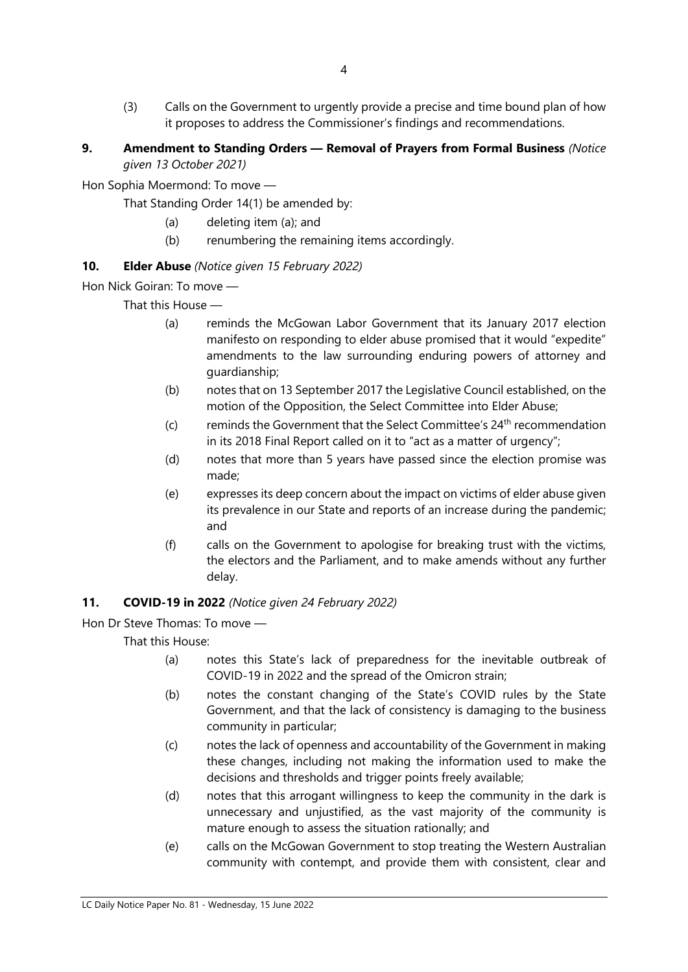- (3) Calls on the Government to urgently provide a precise and time bound plan of how it proposes to address the Commissioner's findings and recommendations.
- **9. Amendment to Standing Orders — Removal of Prayers from Formal Business** *(Notice given 13 October 2021)*

Hon Sophia Moermond: To move —

That Standing Order 14(1) be amended by:

- (a) deleting item (a); and
- (b) renumbering the remaining items accordingly.

# **10. Elder Abuse** *(Notice given 15 February 2022)*

Hon Nick Goiran: To move —

That this House —

- (a) reminds the McGowan Labor Government that its January 2017 election manifesto on responding to elder abuse promised that it would "expedite" amendments to the law surrounding enduring powers of attorney and guardianship;
- (b) notes that on 13 September 2017 the Legislative Council established, on the motion of the Opposition, the Select Committee into Elder Abuse;
- (c) reminds the Government that the Select Committee's  $24<sup>th</sup>$  recommendation in its 2018 Final Report called on it to "act as a matter of urgency";
- (d) notes that more than 5 years have passed since the election promise was made;
- (e) expresses its deep concern about the impact on victims of elder abuse given its prevalence in our State and reports of an increase during the pandemic; and
- (f) calls on the Government to apologise for breaking trust with the victims, the electors and the Parliament, and to make amends without any further delay.

#### **11. COVID-19 in 2022** *(Notice given 24 February 2022)*

Hon Dr Steve Thomas: To move —

That this House:

- (a) notes this State's lack of preparedness for the inevitable outbreak of COVID-19 in 2022 and the spread of the Omicron strain;
- (b) notes the constant changing of the State's COVID rules by the State Government, and that the lack of consistency is damaging to the business community in particular;
- (c) notes the lack of openness and accountability of the Government in making these changes, including not making the information used to make the decisions and thresholds and trigger points freely available;
- (d) notes that this arrogant willingness to keep the community in the dark is unnecessary and unjustified, as the vast majority of the community is mature enough to assess the situation rationally; and
- (e) calls on the McGowan Government to stop treating the Western Australian community with contempt, and provide them with consistent, clear and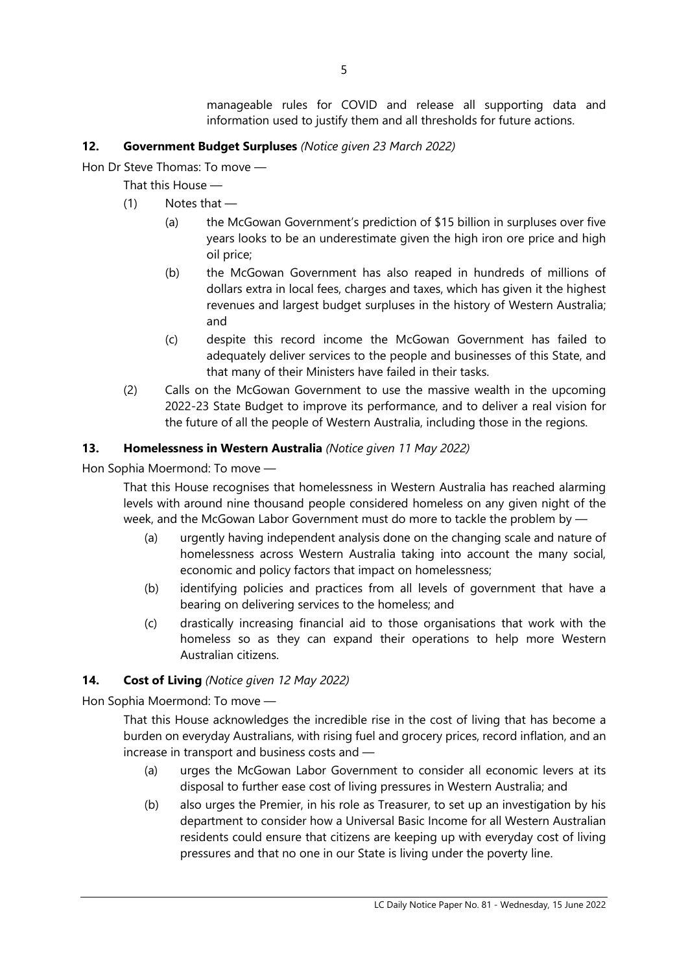manageable rules for COVID and release all supporting data and information used to justify them and all thresholds for future actions.

# **12. Government Budget Surpluses** *(Notice given 23 March 2022)*

Hon Dr Steve Thomas: To move —

That this House —

- (1) Notes that
	- (a) the McGowan Government's prediction of \$15 billion in surpluses over five years looks to be an underestimate given the high iron ore price and high oil price;
	- (b) the McGowan Government has also reaped in hundreds of millions of dollars extra in local fees, charges and taxes, which has given it the highest revenues and largest budget surpluses in the history of Western Australia; and
	- (c) despite this record income the McGowan Government has failed to adequately deliver services to the people and businesses of this State, and that many of their Ministers have failed in their tasks.
- (2) Calls on the McGowan Government to use the massive wealth in the upcoming 2022-23 State Budget to improve its performance, and to deliver a real vision for the future of all the people of Western Australia, including those in the regions.

# **13. Homelessness in Western Australia** *(Notice given 11 May 2022)*

Hon Sophia Moermond: To move —

That this House recognises that homelessness in Western Australia has reached alarming levels with around nine thousand people considered homeless on any given night of the week, and the McGowan Labor Government must do more to tackle the problem by —

- (a) urgently having independent analysis done on the changing scale and nature of homelessness across Western Australia taking into account the many social, economic and policy factors that impact on homelessness;
- (b) identifying policies and practices from all levels of government that have a bearing on delivering services to the homeless; and
- (c) drastically increasing financial aid to those organisations that work with the homeless so as they can expand their operations to help more Western Australian citizens.

#### **14. Cost of Living** *(Notice given 12 May 2022)*

Hon Sophia Moermond: To move —

That this House acknowledges the incredible rise in the cost of living that has become a burden on everyday Australians, with rising fuel and grocery prices, record inflation, and an increase in transport and business costs and —

- (a) urges the McGowan Labor Government to consider all economic levers at its disposal to further ease cost of living pressures in Western Australia; and
- (b) also urges the Premier, in his role as Treasurer, to set up an investigation by his department to consider how a Universal Basic Income for all Western Australian residents could ensure that citizens are keeping up with everyday cost of living pressures and that no one in our State is living under the poverty line.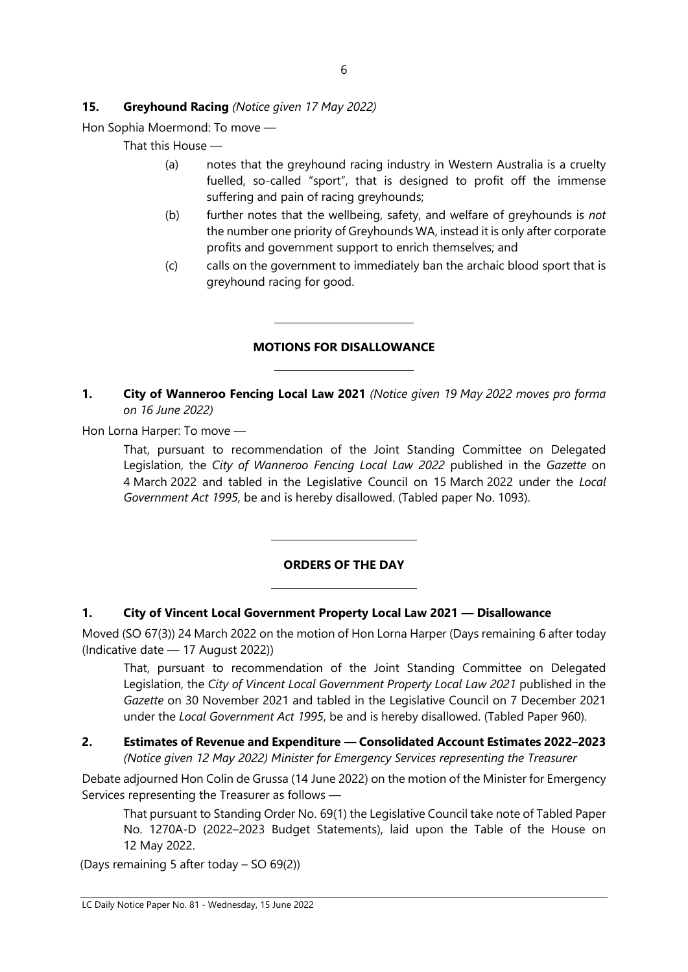# **15. Greyhound Racing** *(Notice given 17 May 2022)*

Hon Sophia Moermond: To move —

That this House —

- (a) notes that the greyhound racing industry in Western Australia is a cruelty fuelled, so-called "sport", that is designed to profit off the immense suffering and pain of racing greyhounds;
- (b) further notes that the wellbeing, safety, and welfare of greyhounds is *not*  the number one priority of Greyhounds WA, instead it is only after corporate profits and government support to enrich themselves; and
- (c) calls on the government to immediately ban the archaic blood sport that is greyhound racing for good.

# **MOTIONS FOR DISALLOWANCE**

 $\overline{a}$ 

 $\overline{a}$ 

 $\overline{\phantom{a}}$ 

 $\overline{\phantom{a}}$ 

**1. City of Wanneroo Fencing Local Law 2021** *(Notice given 19 May 2022 moves pro forma on 16 June 2022)*

Hon Lorna Harper: To move —

That, pursuant to recommendation of the Joint Standing Committee on Delegated Legislation, the *City of Wanneroo Fencing Local Law 2022* published in the *Gazette* on 4 March 2022 and tabled in the Legislative Council on 15 March 2022 under the *Local Government Act 1995*, be and is hereby disallowed. (Tabled paper No. 1093).

#### **ORDERS OF THE DAY**

#### **1. City of Vincent Local Government Property Local Law 2021 — Disallowance**

Moved (SO 67(3)) 24 March 2022 on the motion of Hon Lorna Harper (Days remaining 6 after today (Indicative date — 17 August 2022))

That, pursuant to recommendation of the Joint Standing Committee on Delegated Legislation, the *City of Vincent Local Government Property Local Law 2021* published in the *Gazette* on 30 November 2021 and tabled in the Legislative Council on 7 December 2021 under the *Local Government Act 1995*, be and is hereby disallowed. (Tabled Paper 960).

**2. Estimates of Revenue and Expenditure — Consolidated Account Estimates 2022–2023** *(Notice given 12 May 2022) Minister for Emergency Services representing the Treasurer*

Debate adjourned Hon Colin de Grussa (14 June 2022) on the motion of the Minister for Emergency Services representing the Treasurer as follows —

That pursuant to Standing Order No. 69(1) the Legislative Council take note of Tabled Paper No. 1270A-D (2022–2023 Budget Statements), laid upon the Table of the House on 12 May 2022.

(Days remaining 5 after today – SO 69(2))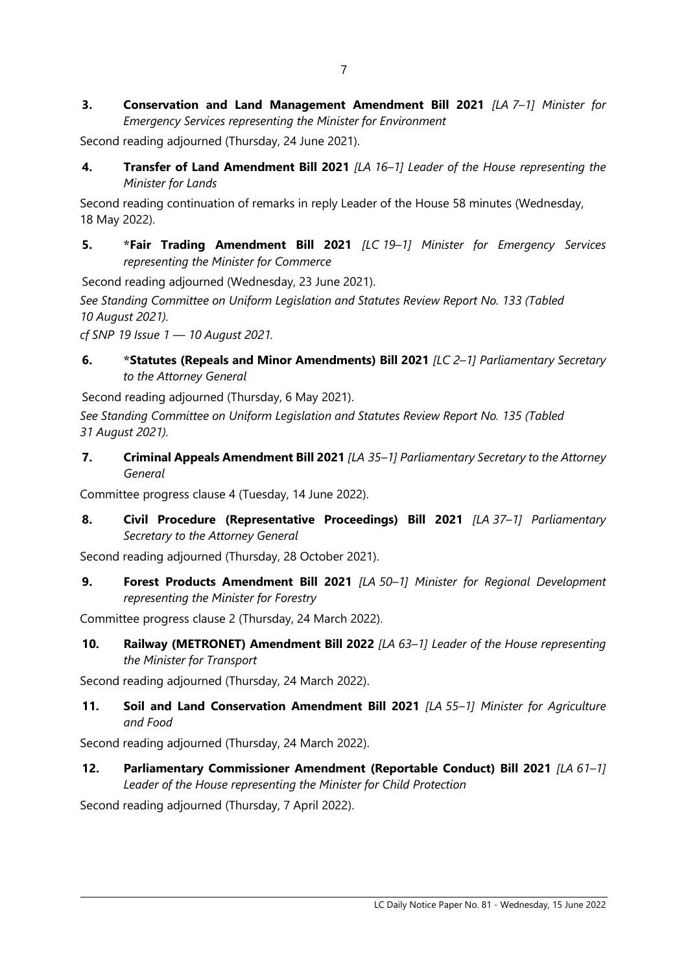**3. Conservation and Land Management Amendment Bill 2021** *[LA 7–1] Minister for Emergency Services representing the Minister for Environment*

Second reading adjourned (Thursday, 24 June 2021).

**4. Transfer of Land Amendment Bill 2021** *[LA 16–1] Leader of the House representing the Minister for Lands*

Second reading continuation of remarks in reply Leader of the House 58 minutes (Wednesday, 18 May 2022).

**5. \*Fair Trading Amendment Bill 2021** *[LC 19–1] Minister for Emergency Services representing the Minister for Commerce*

Second reading adjourned (Wednesday, 23 June 2021).

*See Standing Committee on Uniform Legislation and Statutes Review Report No. 133 (Tabled 10 August 2021).*

*cf SNP 19 Issue 1 — 10 August 2021.*

**6. \*Statutes (Repeals and Minor Amendments) Bill 2021** *[LC 2–1] Parliamentary Secretary to the Attorney General*

Second reading adjourned (Thursday, 6 May 2021).

*See Standing Committee on Uniform Legislation and Statutes Review Report No. 135 (Tabled 31 August 2021).*

**7. Criminal Appeals Amendment Bill 2021** *[LA 35–1] Parliamentary Secretary to the Attorney General*

Committee progress clause 4 (Tuesday, 14 June 2022).

**8. Civil Procedure (Representative Proceedings) Bill 2021** *[LA 37–1] Parliamentary Secretary to the Attorney General*

Second reading adjourned (Thursday, 28 October 2021).

**9. Forest Products Amendment Bill 2021** *[LA 50–1] Minister for Regional Development representing the Minister for Forestry*

Committee progress clause 2 (Thursday, 24 March 2022).

**10. Railway (METRONET) Amendment Bill 2022** *[LA 63–1] Leader of the House representing the Minister for Transport*

Second reading adjourned (Thursday, 24 March 2022).

**11. Soil and Land Conservation Amendment Bill 2021** *[LA 55–1] Minister for Agriculture and Food*

Second reading adjourned (Thursday, 24 March 2022).

**12. Parliamentary Commissioner Amendment (Reportable Conduct) Bill 2021** *[LA 61–1] Leader of the House representing the Minister for Child Protection*

Second reading adjourned (Thursday, 7 April 2022).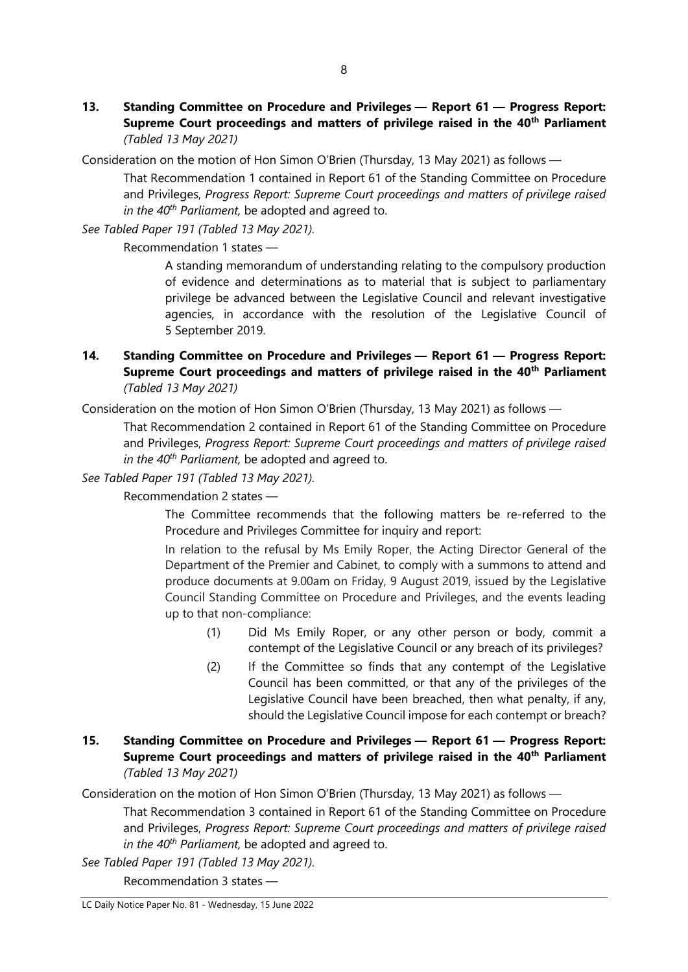- **13. Standing Committee on Procedure and Privileges — Report 61 — Progress Report: Supreme Court proceedings and matters of privilege raised in the 40th Parliament** *(Tabled 13 May 2021)*
- Consideration on the motion of Hon Simon O'Brien (Thursday, 13 May 2021) as follows —

That Recommendation 1 contained in Report 61 of the Standing Committee on Procedure and Privileges, *Progress Report: Supreme Court proceedings and matters of privilege raised in the 40th Parliament,* be adopted and agreed to.

*See Tabled Paper 191 (Tabled 13 May 2021).*

Recommendation 1 states —

A standing memorandum of understanding relating to the compulsory production of evidence and determinations as to material that is subject to parliamentary privilege be advanced between the Legislative Council and relevant investigative agencies, in accordance with the resolution of the Legislative Council of 5 September 2019.

**14. Standing Committee on Procedure and Privileges — Report 61 — Progress Report: Supreme Court proceedings and matters of privilege raised in the 40th Parliament** *(Tabled 13 May 2021)*

Consideration on the motion of Hon Simon O'Brien (Thursday, 13 May 2021) as follows —

That Recommendation 2 contained in Report 61 of the Standing Committee on Procedure and Privileges, *Progress Report: Supreme Court proceedings and matters of privilege raised in the 40th Parliament,* be adopted and agreed to.

*See Tabled Paper 191 (Tabled 13 May 2021).*

Recommendation 2 states —

The Committee recommends that the following matters be re-referred to the Procedure and Privileges Committee for inquiry and report:

In relation to the refusal by Ms Emily Roper, the Acting Director General of the Department of the Premier and Cabinet, to comply with a summons to attend and produce documents at 9.00am on Friday, 9 August 2019, issued by the Legislative Council Standing Committee on Procedure and Privileges, and the events leading up to that non-compliance:

- (1) Did Ms Emily Roper, or any other person or body, commit a contempt of the Legislative Council or any breach of its privileges?
- (2) If the Committee so finds that any contempt of the Legislative Council has been committed, or that any of the privileges of the Legislative Council have been breached, then what penalty, if any, should the Legislative Council impose for each contempt or breach?
- **15. Standing Committee on Procedure and Privileges — Report 61 — Progress Report: Supreme Court proceedings and matters of privilege raised in the 40th Parliament** *(Tabled 13 May 2021)*

Consideration on the motion of Hon Simon O'Brien (Thursday, 13 May 2021) as follows —

That Recommendation 3 contained in Report 61 of the Standing Committee on Procedure and Privileges, *Progress Report: Supreme Court proceedings and matters of privilege raised in the 40th Parliament,* be adopted and agreed to.

*See Tabled Paper 191 (Tabled 13 May 2021).*

Recommendation 3 states —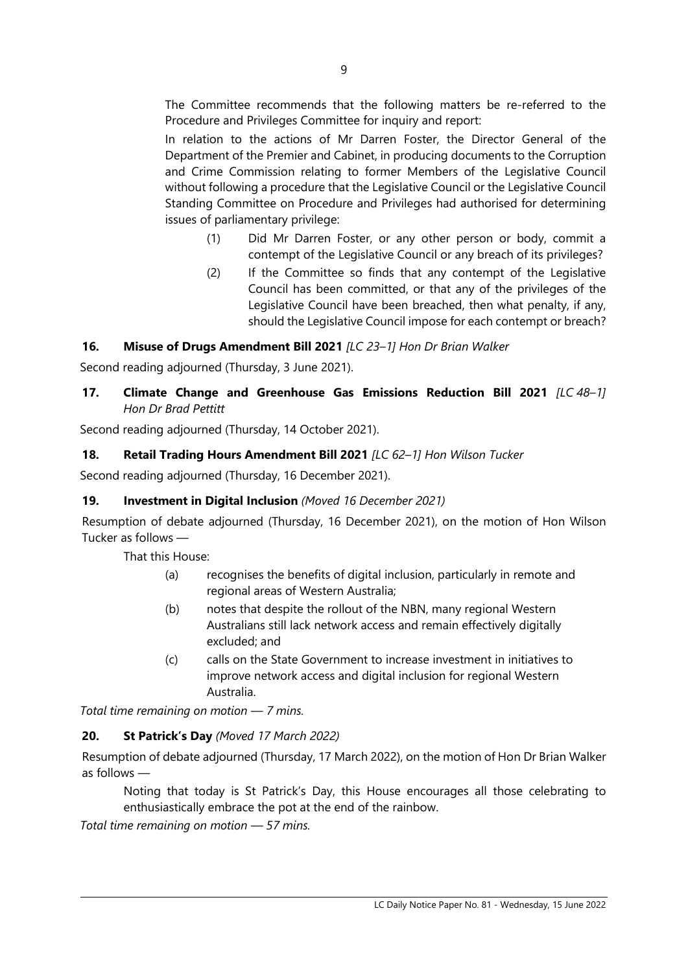The Committee recommends that the following matters be re-referred to the Procedure and Privileges Committee for inquiry and report:

In relation to the actions of Mr Darren Foster, the Director General of the Department of the Premier and Cabinet, in producing documents to the Corruption and Crime Commission relating to former Members of the Legislative Council without following a procedure that the Legislative Council or the Legislative Council Standing Committee on Procedure and Privileges had authorised for determining issues of parliamentary privilege:

- (1) Did Mr Darren Foster, or any other person or body, commit a contempt of the Legislative Council or any breach of its privileges?
- (2) If the Committee so finds that any contempt of the Legislative Council has been committed, or that any of the privileges of the Legislative Council have been breached, then what penalty, if any, should the Legislative Council impose for each contempt or breach?

# **16. Misuse of Drugs Amendment Bill 2021** *[LC 23–1] Hon Dr Brian Walker*

Second reading adjourned (Thursday, 3 June 2021).

# **17. Climate Change and Greenhouse Gas Emissions Reduction Bill 2021** *[LC 48–1] Hon Dr Brad Pettitt*

Second reading adjourned (Thursday, 14 October 2021).

# **18. Retail Trading Hours Amendment Bill 2021** *[LC 62–1] Hon Wilson Tucker*

Second reading adjourned (Thursday, 16 December 2021).

#### **19. Investment in Digital Inclusion** *(Moved 16 December 2021)*

Resumption of debate adjourned (Thursday, 16 December 2021), on the motion of Hon Wilson Tucker as follows —

That this House:

- (a) recognises the benefits of digital inclusion, particularly in remote and regional areas of Western Australia;
- (b) notes that despite the rollout of the NBN, many regional Western Australians still lack network access and remain effectively digitally excluded; and
- (c) calls on the State Government to increase investment in initiatives to improve network access and digital inclusion for regional Western Australia.

*Total time remaining on motion — 7 mins.*

# **20. St Patrick's Day** *(Moved 17 March 2022)*

Resumption of debate adjourned (Thursday, 17 March 2022), on the motion of Hon Dr Brian Walker as follows —

Noting that today is St Patrick's Day, this House encourages all those celebrating to enthusiastically embrace the pot at the end of the rainbow.

*Total time remaining on motion — 57 mins.*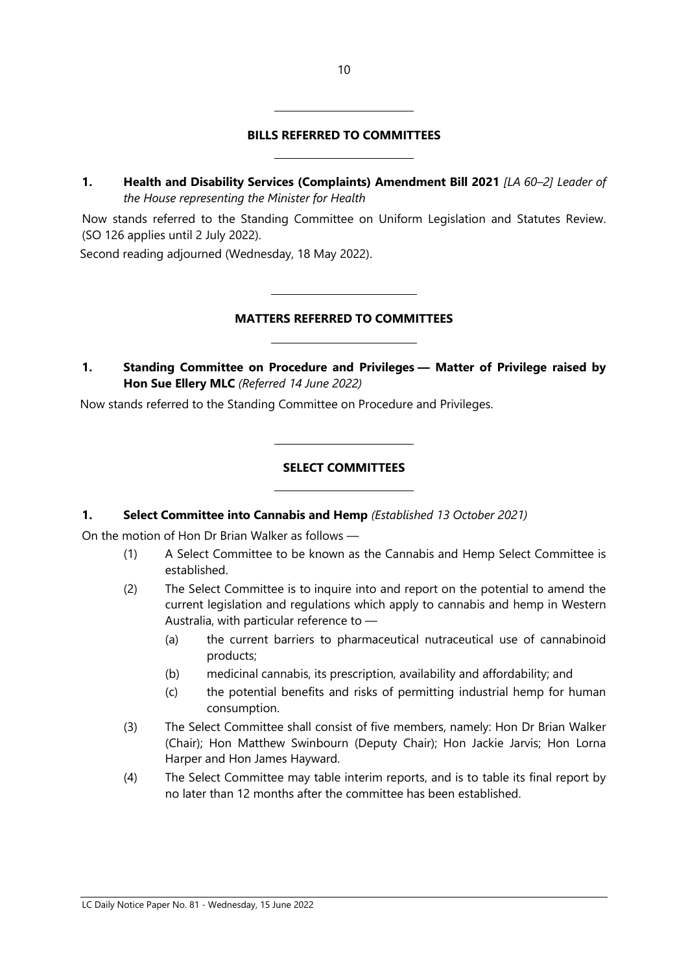# **BILLS REFERRED TO COMMITTEES**

**1. Health and Disability Services (Complaints) Amendment Bill 2021** *[LA 60–2] Leader of the House representing the Minister for Health* 

Now stands referred to the Standing Committee on Uniform Legislation and Statutes Review. (SO 126 applies until 2 July 2022).

Second reading adjourned (Wednesday, 18 May 2022).

#### **MATTERS REFERRED TO COMMITTEES**

**1. Standing Committee on Procedure and Privileges — Matter of Privilege raised by Hon Sue Ellery MLC** *(Referred 14 June 2022)*

Now stands referred to the Standing Committee on Procedure and Privileges.

 $\overline{a}$ 

 $\overline{a}$ 

 $\overline{a}$ 

 $\overline{a}$ 

 $\overline{\phantom{a}}$ 

 $\overline{\phantom{a}}$ 

#### **SELECT COMMITTEES**

#### **1. Select Committee into Cannabis and Hemp** *(Established 13 October 2021)*

On the motion of Hon Dr Brian Walker as follows —

- (1) A Select Committee to be known as the Cannabis and Hemp Select Committee is established.
- (2) The Select Committee is to inquire into and report on the potential to amend the current legislation and regulations which apply to cannabis and hemp in Western Australia, with particular reference to —
	- (a) the current barriers to pharmaceutical nutraceutical use of cannabinoid products;
	- (b) medicinal cannabis, its prescription, availability and affordability; and
	- (c) the potential benefits and risks of permitting industrial hemp for human consumption.
- (3) The Select Committee shall consist of five members, namely: Hon Dr Brian Walker (Chair); Hon Matthew Swinbourn (Deputy Chair); Hon Jackie Jarvis; Hon Lorna Harper and Hon James Hayward.
- (4) The Select Committee may table interim reports, and is to table its final report by no later than 12 months after the committee has been established.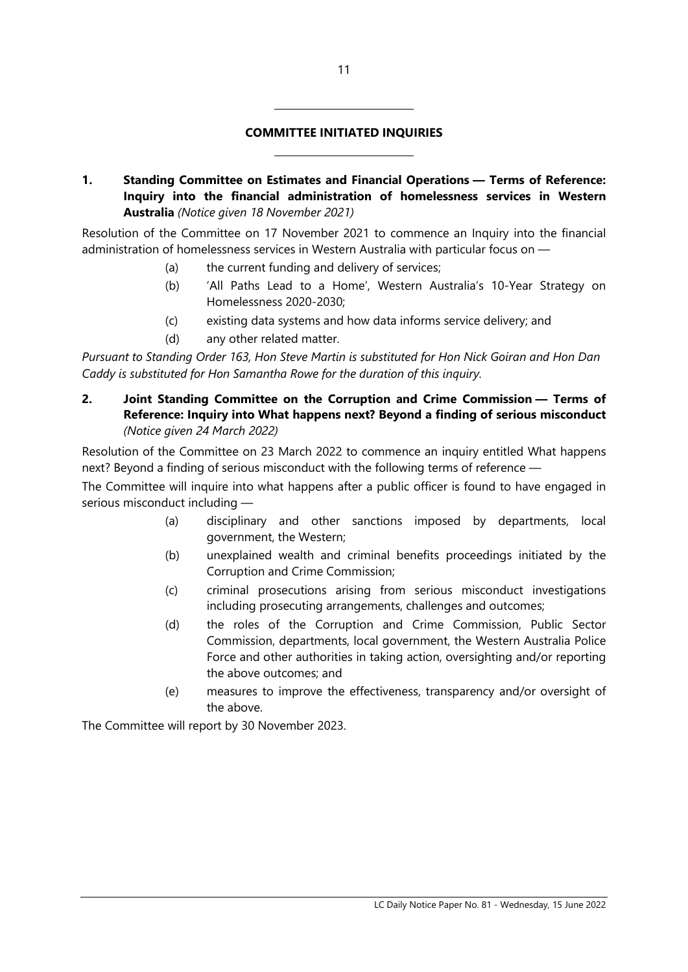#### **COMMITTEE INITIATED INQUIRIES**

**1. Standing Committee on Estimates and Financial Operations — Terms of Reference: Inquiry into the financial administration of homelessness services in Western Australia** *(Notice given 18 November 2021)*

Resolution of the Committee on 17 November 2021 to commence an Inquiry into the financial administration of homelessness services in Western Australia with particular focus on —

(a) the current funding and delivery of services;

 $\overline{a}$ 

 $\overline{a}$ 

- (b) 'All Paths Lead to a Home', Western Australia's 10-Year Strategy on Homelessness 2020-2030;
- (c) existing data systems and how data informs service delivery; and
- (d) any other related matter.

*Pursuant to Standing Order 163, Hon Steve Martin is substituted for Hon Nick Goiran and Hon Dan Caddy is substituted for Hon Samantha Rowe for the duration of this inquiry.*

**2. Joint Standing Committee on the Corruption and Crime Commission — Terms of Reference: Inquiry into What happens next? Beyond a finding of serious misconduct** *(Notice given 24 March 2022)*

Resolution of the Committee on 23 March 2022 to commence an inquiry entitled What happens next? Beyond a finding of serious misconduct with the following terms of reference —

The Committee will inquire into what happens after a public officer is found to have engaged in serious misconduct including —

- (a) disciplinary and other sanctions imposed by departments, local government, the Western;
- (b) unexplained wealth and criminal benefits proceedings initiated by the Corruption and Crime Commission;
- (c) criminal prosecutions arising from serious misconduct investigations including prosecuting arrangements, challenges and outcomes;
- (d) the roles of the Corruption and Crime Commission, Public Sector Commission, departments, local government, the Western Australia Police Force and other authorities in taking action, oversighting and/or reporting the above outcomes; and
- (e) measures to improve the effectiveness, transparency and/or oversight of the above.

The Committee will report by 30 November 2023.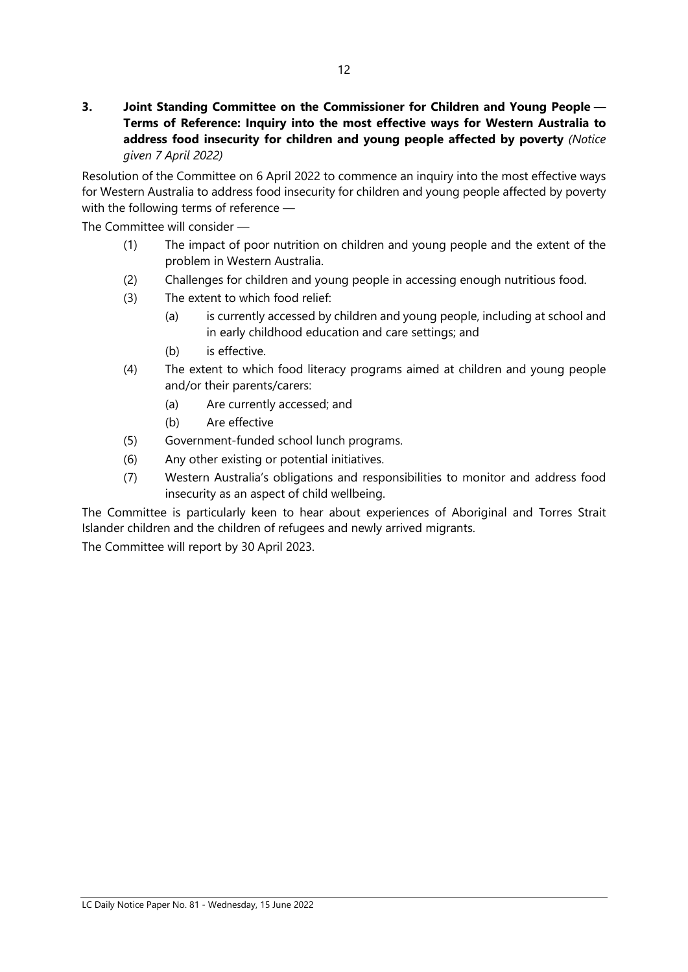**3. Joint Standing Committee on the Commissioner for Children and Young People — Terms of Reference: Inquiry into the most effective ways for Western Australia to address food insecurity for children and young people affected by poverty** *(Notice given 7 April 2022)*

Resolution of the Committee on 6 April 2022 to commence an inquiry into the most effective ways for Western Australia to address food insecurity for children and young people affected by poverty with the following terms of reference —

The Committee will consider —

- (1) The impact of poor nutrition on children and young people and the extent of the problem in Western Australia.
- (2) Challenges for children and young people in accessing enough nutritious food.
- (3) The extent to which food relief:
	- (a) is currently accessed by children and young people, including at school and in early childhood education and care settings; and
	- (b) is effective.
- (4) The extent to which food literacy programs aimed at children and young people and/or their parents/carers:
	- (a) Are currently accessed; and
	- (b) Are effective
- (5) Government-funded school lunch programs.
- (6) Any other existing or potential initiatives.
- (7) Western Australia's obligations and responsibilities to monitor and address food insecurity as an aspect of child wellbeing.

The Committee is particularly keen to hear about experiences of Aboriginal and Torres Strait Islander children and the children of refugees and newly arrived migrants.

The Committee will report by 30 April 2023.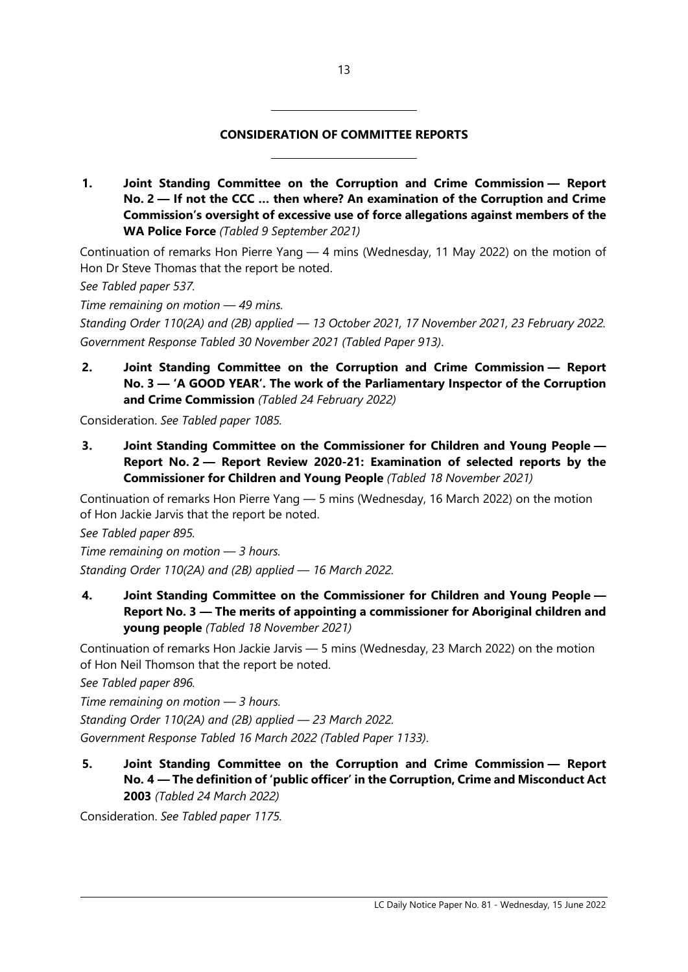#### **CONSIDERATION OF COMMITTEE REPORTS**

 $\overline{\phantom{a}}$ 

 $\overline{\phantom{a}}$ 

**1. Joint Standing Committee on the Corruption and Crime Commission — Report No. 2 — If not the CCC … then where? An examination of the Corruption and Crime Commission's oversight of excessive use of force allegations against members of the WA Police Force** *(Tabled 9 September 2021)*

Continuation of remarks Hon Pierre Yang — 4 mins (Wednesday, 11 May 2022) on the motion of Hon Dr Steve Thomas that the report be noted.

*See Tabled paper 537.*

*Time remaining on motion — 49 mins.*

*Standing Order 110(2A) and (2B) applied — 13 October 2021, 17 November 2021, 23 February 2022. Government Response Tabled 30 November 2021 (Tabled Paper 913)*.

**2. Joint Standing Committee on the Corruption and Crime Commission — Report No. 3 — 'A GOOD YEAR'. The work of the Parliamentary Inspector of the Corruption and Crime Commission** *(Tabled 24 February 2022)*

Consideration. *See Tabled paper 1085.*

**3. Joint Standing Committee on the Commissioner for Children and Young People — Report No. 2 — Report Review 2020-21: Examination of selected reports by the Commissioner for Children and Young People** *(Tabled 18 November 2021)*

Continuation of remarks Hon Pierre Yang — 5 mins (Wednesday, 16 March 2022) on the motion of Hon Jackie Jarvis that the report be noted.

*See Tabled paper 895.*

*Time remaining on motion — 3 hours. Standing Order 110(2A) and (2B) applied — 16 March 2022.*

**4. Joint Standing Committee on the Commissioner for Children and Young People — Report No. 3 — The merits of appointing a commissioner for Aboriginal children and young people** *(Tabled 18 November 2021)*

Continuation of remarks Hon Jackie Jarvis — 5 mins (Wednesday, 23 March 2022) on the motion of Hon Neil Thomson that the report be noted.

*See Tabled paper 896.*

*Time remaining on motion — 3 hours.*

*Standing Order 110(2A) and (2B) applied — 23 March 2022.*

*Government Response Tabled 16 March 2022 (Tabled Paper 1133)*.

**5. Joint Standing Committee on the Corruption and Crime Commission — Report No. 4 — The definition of 'public officer' in the Corruption, Crime and Misconduct Act 2003** *(Tabled 24 March 2022)*

Consideration. *See Tabled paper 1175.*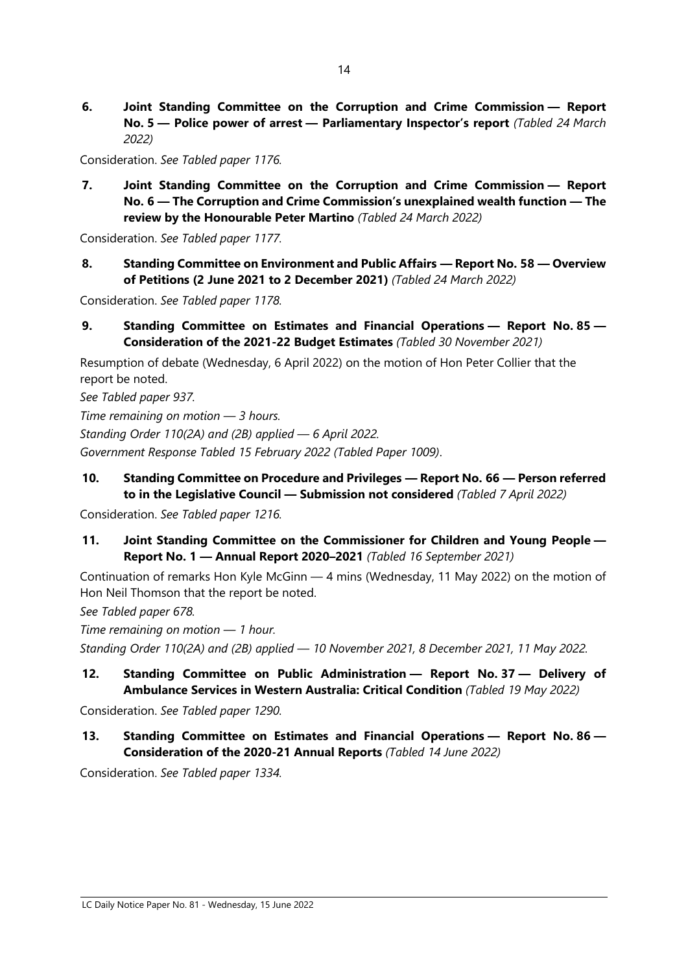**6. Joint Standing Committee on the Corruption and Crime Commission — Report No. 5 — Police power of arrest — Parliamentary Inspector's report** *(Tabled 24 March 2022)*

Consideration. *See Tabled paper 1176.*

**7. Joint Standing Committee on the Corruption and Crime Commission — Report No. 6 — The Corruption and Crime Commission's unexplained wealth function — The review by the Honourable Peter Martino** *(Tabled 24 March 2022)*

Consideration. *See Tabled paper 1177.*

**8. Standing Committee on Environment and Public Affairs — Report No. 58 — Overview of Petitions (2 June 2021 to 2 December 2021)** *(Tabled 24 March 2022)*

Consideration. *See Tabled paper 1178.*

**9. Standing Committee on Estimates and Financial Operations — Report No. 85 — Consideration of the 2021-22 Budget Estimates** *(Tabled 30 November 2021)*

Resumption of debate (Wednesday, 6 April 2022) on the motion of Hon Peter Collier that the report be noted.

*See Tabled paper 937.*

*Time remaining on motion — 3 hours.*

*Standing Order 110(2A) and (2B) applied — 6 April 2022.*

*Government Response Tabled 15 February 2022 (Tabled Paper 1009)*.

**10. Standing Committee on Procedure and Privileges — Report No. 66 — Person referred to in the Legislative Council — Submission not considered** *(Tabled 7 April 2022)*

Consideration. *See Tabled paper 1216.*

**11. Joint Standing Committee on the Commissioner for Children and Young People — Report No. 1 — Annual Report 2020–2021** *(Tabled 16 September 2021)*

Continuation of remarks Hon Kyle McGinn — 4 mins (Wednesday, 11 May 2022) on the motion of Hon Neil Thomson that the report be noted.

*See Tabled paper 678.*

*Time remaining on motion — 1 hour. Standing Order 110(2A) and (2B) applied — 10 November 2021, 8 December 2021, 11 May 2022.*

# **12. Standing Committee on Public Administration — Report No. 37 — Delivery of Ambulance Services in Western Australia: Critical Condition** *(Tabled 19 May 2022)*

Consideration. *See Tabled paper 1290.*

**13. Standing Committee on Estimates and Financial Operations — Report No. 86 — Consideration of the 2020-21 Annual Reports** *(Tabled 14 June 2022)*

Consideration. *See Tabled paper 1334.*